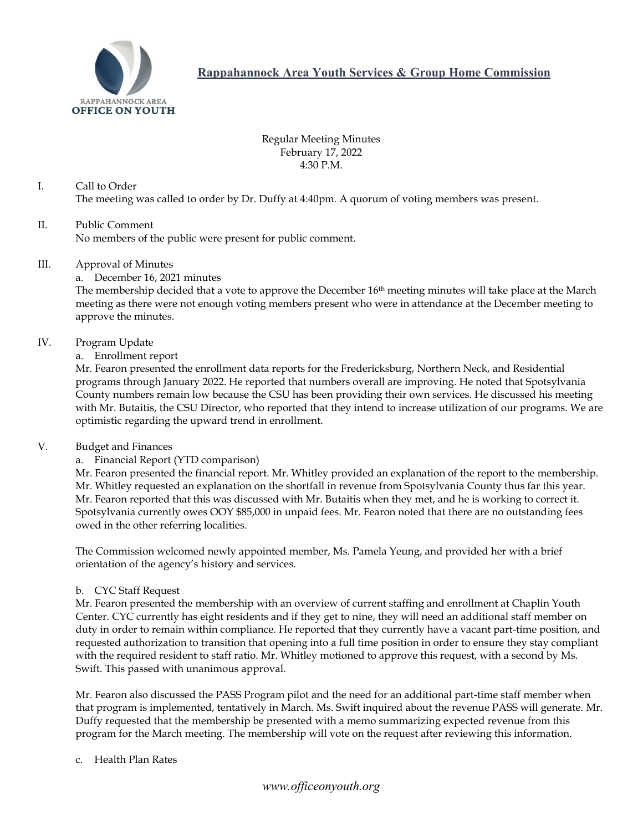

**Rappahannock Area Youth Services & Group Home Commission**

Regular Meeting Minutes February 17, 2022 4:30 P.M.

I. Call to Order The meeting was called to order by Dr. Duffy at 4:40pm. A quorum of voting members was present.

## II. Public Comment No members of the public were present for public comment.

#### III. Approval of Minutes

a. December 16, 2021 minutes

The membership decided that a vote to approve the December 16<sup>th</sup> meeting minutes will take place at the March meeting as there were not enough voting members present who were in attendance at the December meeting to approve the minutes.

#### IV. Program Update

#### a. Enrollment report

Mr. Fearon presented the enrollment data reports for the Fredericksburg, Northern Neck, and Residential programs through January 2022. He reported that numbers overall are improving. He noted that Spotsylvania County numbers remain low because the CSU has been providing their own services. He discussed his meeting with Mr. Butaitis, the CSU Director, who reported that they intend to increase utilization of our programs. We are optimistic regarding the upward trend in enrollment.

#### V. Budget and Finances

## a. Financial Report (YTD comparison)

Mr. Fearon presented the financial report. Mr. Whitley provided an explanation of the report to the membership. Mr. Whitley requested an explanation on the shortfall in revenue from Spotsylvania County thus far this year. Mr. Fearon reported that this was discussed with Mr. Butaitis when they met, and he is working to correct it. Spotsylvania currently owes OOY \$85,000 in unpaid fees. Mr. Fearon noted that there are no outstanding fees owed in the other referring localities.

The Commission welcomed newly appointed member, Ms. Pamela Yeung, and provided her with a brief orientation of the agency's history and services.

## b. CYC Staff Request

Mr. Fearon presented the membership with an overview of current staffing and enrollment at Chaplin Youth Center. CYC currently has eight residents and if they get to nine, they will need an additional staff member on duty in order to remain within compliance. He reported that they currently have a vacant part-time position, and requested authorization to transition that opening into a full time position in order to ensure they stay compliant with the required resident to staff ratio. Mr. Whitley motioned to approve this request, with a second by Ms. Swift. This passed with unanimous approval.

Mr. Fearon also discussed the PASS Program pilot and the need for an additional part-time staff member when that program is implemented, tentatively in March. Ms. Swift inquired about the revenue PASS will generate. Mr. Duffy requested that the membership be presented with a memo summarizing expected revenue from this program for the March meeting. The membership will vote on the request after reviewing this information.

#### c. Health Plan Rates

## *www.officeonyouth.org*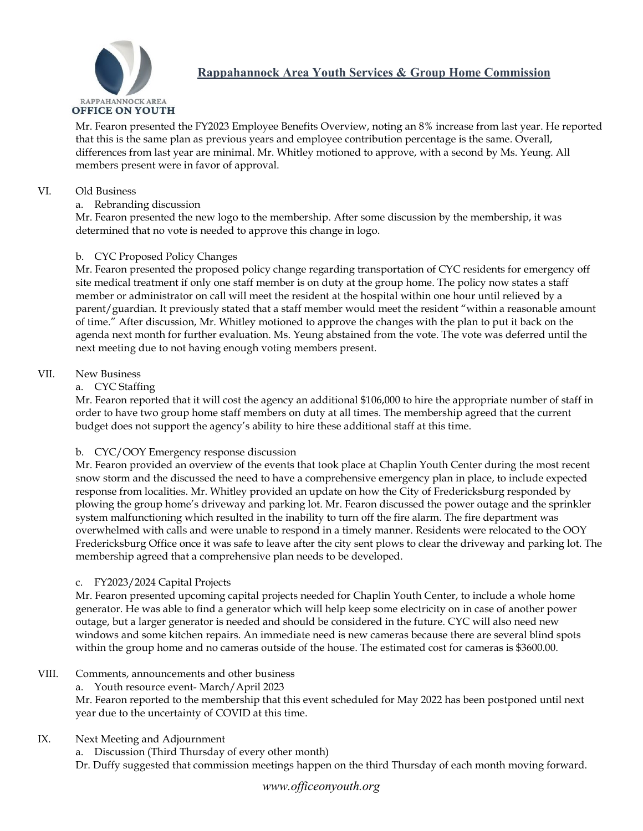

# **Rappahannock Area Youth Services & Group Home Commission**

Mr. Fearon presented the FY2023 Employee Benefits Overview, noting an 8% increase from last year. He reported that this is the same plan as previous years and employee contribution percentage is the same. Overall, differences from last year are minimal. Mr. Whitley motioned to approve, with a second by Ms. Yeung. All members present were in favor of approval.

## VI. Old Business

## a. Rebranding discussion

Mr. Fearon presented the new logo to the membership. After some discussion by the membership, it was determined that no vote is needed to approve this change in logo.

## b. CYC Proposed Policy Changes

Mr. Fearon presented the proposed policy change regarding transportation of CYC residents for emergency off site medical treatment if only one staff member is on duty at the group home. The policy now states a staff member or administrator on call will meet the resident at the hospital within one hour until relieved by a parent/guardian. It previously stated that a staff member would meet the resident "within a reasonable amount of time." After discussion, Mr. Whitley motioned to approve the changes with the plan to put it back on the agenda next month for further evaluation. Ms. Yeung abstained from the vote. The vote was deferred until the next meeting due to not having enough voting members present.

#### VII. New Business

## a. CYC Staffing

Mr. Fearon reported that it will cost the agency an additional \$106,000 to hire the appropriate number of staff in order to have two group home staff members on duty at all times. The membership agreed that the current budget does not support the agency's ability to hire these additional staff at this time.

## b. CYC/OOY Emergency response discussion

Mr. Fearon provided an overview of the events that took place at Chaplin Youth Center during the most recent snow storm and the discussed the need to have a comprehensive emergency plan in place, to include expected response from localities. Mr. Whitley provided an update on how the City of Fredericksburg responded by plowing the group home's driveway and parking lot. Mr. Fearon discussed the power outage and the sprinkler system malfunctioning which resulted in the inability to turn off the fire alarm. The fire department was overwhelmed with calls and were unable to respond in a timely manner. Residents were relocated to the OOY Fredericksburg Office once it was safe to leave after the city sent plows to clear the driveway and parking lot. The membership agreed that a comprehensive plan needs to be developed.

## c. FY2023/2024 Capital Projects

Mr. Fearon presented upcoming capital projects needed for Chaplin Youth Center, to include a whole home generator. He was able to find a generator which will help keep some electricity on in case of another power outage, but a larger generator is needed and should be considered in the future. CYC will also need new windows and some kitchen repairs. An immediate need is new cameras because there are several blind spots within the group home and no cameras outside of the house. The estimated cost for cameras is \$3600.00.

## VIII. Comments, announcements and other business

a. Youth resource event- March/April 2023

Mr. Fearon reported to the membership that this event scheduled for May 2022 has been postponed until next year due to the uncertainty of COVID at this time.

## IX. Next Meeting and Adjournment

a. Discussion (Third Thursday of every other month)

Dr. Duffy suggested that commission meetings happen on the third Thursday of each month moving forward.

## *www.officeonyouth.org*